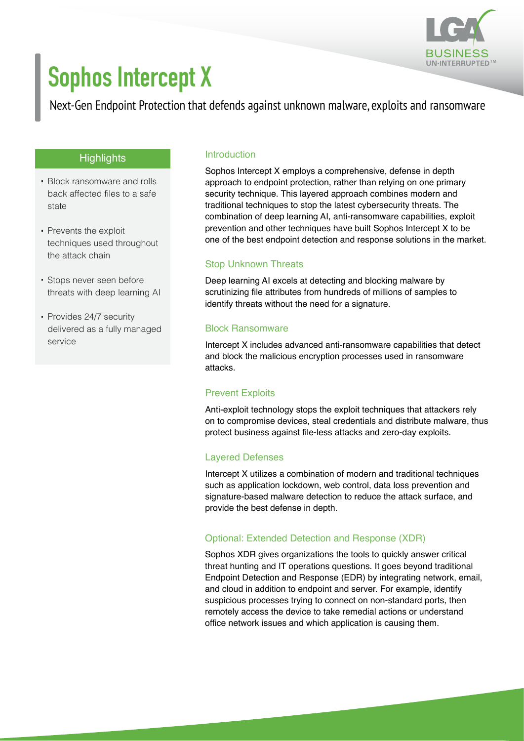

# **Sophos Intercept X**

Next-Gen Endpoint Protection that defends against unknown malware, exploits and ransomware

### **Highlights**

- Block ransomware and rolls back affected files to a safe state
- Prevents the exploit techniques used throughout the attack chain
- Stops never seen before threats with deep learning AI
- Provides 24/7 security delivered as a fully managed service

#### Introduction

Sophos Intercept X employs a comprehensive, defense in depth approach to endpoint protection, rather than relying on one primary security technique. This layered approach combines modern and traditional techniques to stop the latest cybersecurity threats. The combination of deep learning AI, anti-ransomware capabilities, exploit prevention and other techniques have built Sophos Intercept X to be one of the best endpoint detection and response solutions in the market.

#### Stop Unknown Threats

Deep learning AI excels at detecting and blocking malware by scrutinizing file attributes from hundreds of millions of samples to identify threats without the need for a signature.

#### Block Ransomware

Intercept X includes advanced anti-ransomware capabilities that detect and block the malicious encryption processes used in ransomware attacks.

#### Prevent Exploits

Anti-exploit technology stops the exploit techniques that attackers rely on to compromise devices, steal credentials and distribute malware, thus protect business against file-less attacks and zero-day exploits.

#### Layered Defenses

Intercept X utilizes a combination of modern and traditional techniques such as application lockdown, web control, data loss prevention and signature-based malware detection to reduce the attack surface, and provide the best defense in depth.

#### Optional: Extended Detection and Response (XDR)

Sophos XDR gives organizations the tools to quickly answer critical threat hunting and IT operations questions. It goes beyond traditional Endpoint Detection and Response (EDR) by integrating network, email, and cloud in addition to endpoint and server. For example, identify suspicious processes trying to connect on non-standard ports, then remotely access the device to take remedial actions or understand office network issues and which application is causing them.